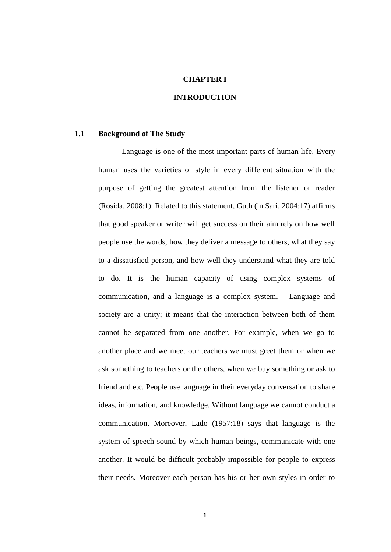#### **CHAPTER I**

## **INTRODUCTION**

## **1.1 Background of The Study**

Language is one of the most important parts of human life. Every human uses the varieties of style in every different situation with the purpose of getting the greatest attention from the listener or reader (Rosida, 2008:1). Related to this statement, Guth (in Sari, 2004:17) affirms that good speaker or writer will get success on their aim rely on how well people use the words, how they deliver a message to others, what they say to a dissatisfied person, and how well they understand what they are told to do. It is the human capacity of using complex systems of communication, and a language is a complex system. Language and society are a unity; it means that the interaction between both of them cannot be separated from one another. For example, when we go to another place and we meet our teachers we must greet them or when we ask something to teachers or the others, when we buy something or ask to friend and etc. People use language in their everyday conversation to share ideas, information, and knowledge. Without language we cannot conduct a communication. Moreover, Lado (1957:18) says that language is the system of speech sound by which human beings, communicate with one another. It would be difficult probably impossible for people to express their needs. Moreover each person has his or her own styles in order to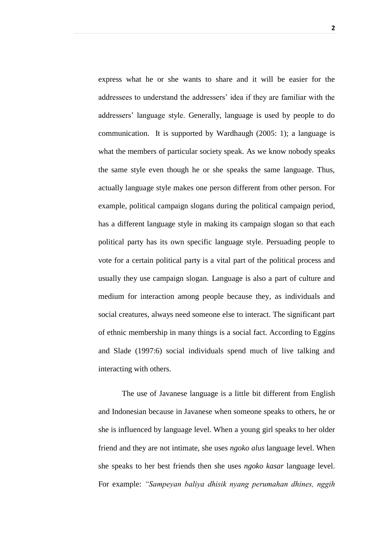express what he or she wants to share and it will be easier for the addressees to understand the addressers' idea if they are familiar with the addressers' language style. Generally, language is used by people to do communication. It is supported by Wardhaugh (2005: 1); a language is what the members of particular society speak. As we know nobody speaks the same style even though he or she speaks the same language. Thus, actually language style makes one person different from other person. For example, political campaign slogans during the political campaign period, has a different language style in making its campaign slogan so that each political party has its own specific language style. Persuading people to vote for a certain political party is a vital part of the political process and usually they use campaign slogan. Language is also a part of culture and medium for interaction among people because they, as individuals and social creatures, always need someone else to interact. The significant part of ethnic membership in many things is a social fact. According to Eggins and Slade (1997:6) social individuals spend much of live talking and interacting with others.

The use of Javanese language is a little bit different from English and Indonesian because in Javanese when someone speaks to others, he or she is influenced by language level. When a young girl speaks to her older friend and they are not intimate, she uses *ngoko alus* language level. When she speaks to her best friends then she uses *ngoko kasar* language level. For example: *"Sampeyan baliya dhisik nyang perumahan dhines, nggih*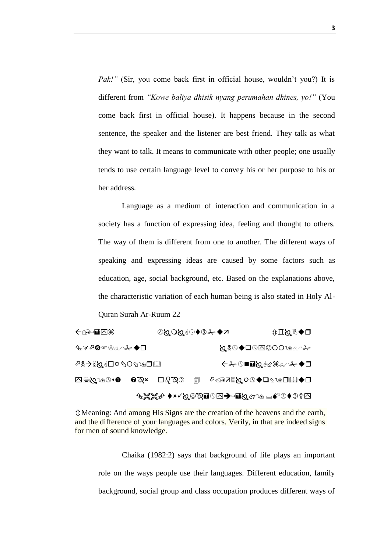*Pak!"* (Sir, you come back first in official house, wouldn't you?) It is different from *"Kowe baliya dhisik nyang perumahan dhines, yo!"* (You come back first in official house). It happens because in the second sentence, the speaker and the listener are best friend. They talk as what they want to talk. It means to communicate with other people; one usually tends to use certain language level to convey his or her purpose to his or her address.

Language as a medium of interaction and communication in a society has a function of expressing idea, feeling and thought to others. The way of them is different from one to another. The different ways of speaking and expressing ideas are caused by some factors such as education, age, social background, etc. Based on the explanations above, the characteristic variation of each human being is also stated in Holy Al-

Quran Surah Ar-Ruum 22

| ←企□■⊡第                               |                                 | ©ନ∽େବେ⊕ାନିମଠ⊗⊕ |               |  | <b>□◆<i>&amp;⊠</i>Ⅱ</b> む |
|--------------------------------------|---------------------------------|----------------|---------------|--|---------------------------|
| <del></del> ⊕⋎⇗❻☞⊛⊛╱ <del>⊁</del> ◆□ |                                 |                |               |  |                           |
|                                      |                                 |                | ←⊱⊙■■♡♦फ≋∾⊱◆□ |  |                           |
| ∩∙⊙⊚∧⊠⊜∩                             | $\mathbf{O}\boxtimes\mathbf{x}$ | ⊡∂`⊗⊙          | 匐             |  | ए◆এ⊓⊚∞⊄⊙♦⊙ុ∞∏∝⊙           |
|                                      |                                 |                |               |  | <del>`</del>              |

Meaning: And among His Signs are the creation of the heavens and the earth, and the difference of your languages and colors. Verily, in that are indeed signs for men of sound knowledge.

Chaika (1982:2) says that background of life plays an important role on the ways people use their languages. Different education, family background, social group and class occupation produces different ways of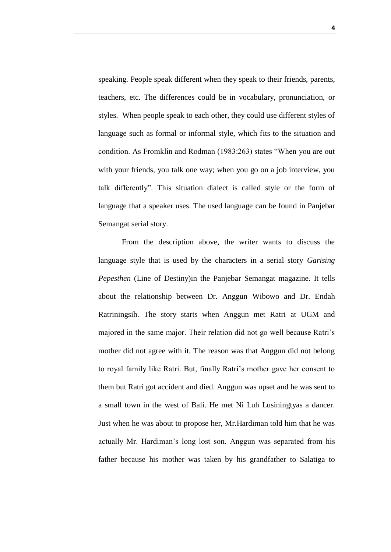speaking. People speak different when they speak to their friends, parents, teachers, etc. The differences could be in vocabulary, pronunciation, or styles. When people speak to each other, they could use different styles of language such as formal or informal style, which fits to the situation and condition. As Fromklin and Rodman (1983:263) states "When you are out with your friends, you talk one way; when you go on a job interview, you talk differently". This situation dialect is called style or the form of language that a speaker uses. The used language can be found in Panjebar Semangat serial story.

From the description above, the writer wants to discuss the language style that is used by the characters in a serial story *Garising Pepesthen* (Line of Destiny)in the Panjebar Semangat magazine. It tells about the relationship between Dr. Anggun Wibowo and Dr. Endah Ratriningsih. The story starts when Anggun met Ratri at UGM and majored in the same major. Their relation did not go well because Ratri's mother did not agree with it. The reason was that Anggun did not belong to royal family like Ratri. But, finally Ratri's mother gave her consent to them but Ratri got accident and died. Anggun was upset and he was sent to a small town in the west of Bali. He met Ni Luh Lusiningtyas a dancer. Just when he was about to propose her, Mr.Hardiman told him that he was actually Mr. Hardiman's long lost son. Anggun was separated from his father because his mother was taken by his grandfather to Salatiga to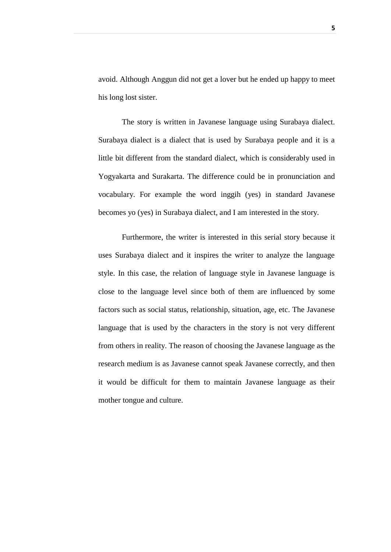avoid. Although Anggun did not get a lover but he ended up happy to meet his long lost sister.

The story is written in Javanese language using Surabaya dialect. Surabaya dialect is a dialect that is used by Surabaya people and it is a little bit different from the standard dialect, which is considerably used in Yogyakarta and Surakarta. The difference could be in pronunciation and vocabulary. For example the word inggih (yes) in standard Javanese becomes yo (yes) in Surabaya dialect, and I am interested in the story.

Furthermore, the writer is interested in this serial story because it uses Surabaya dialect and it inspires the writer to analyze the language style. In this case, the relation of language style in Javanese language is close to the language level since both of them are influenced by some factors such as social status, relationship, situation, age, etc. The Javanese language that is used by the characters in the story is not very different from others in reality. The reason of choosing the Javanese language as the research medium is as Javanese cannot speak Javanese correctly, and then it would be difficult for them to maintain Javanese language as their mother tongue and culture.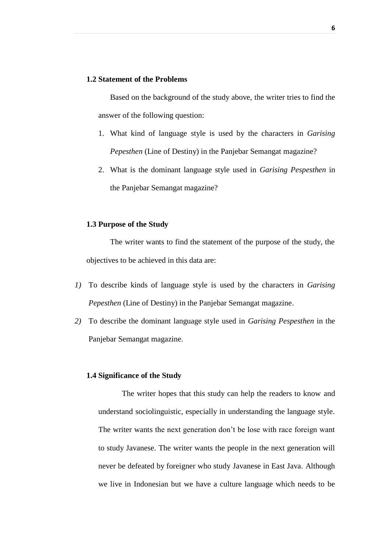#### **1.2 Statement of the Problems**

Based on the background of the study above, the writer tries to find the answer of the following question:

- 1. What kind of language style is used by the characters in *Garising Pepesthen* (Line of Destiny) in the Panjebar Semangat magazine?
- 2. What is the dominant language style used in *Garising Pespesthen* in the Panjebar Semangat magazine?

### **1.3 Purpose of the Study**

The writer wants to find the statement of the purpose of the study, the objectives to be achieved in this data are:

- *1)* To describe kinds of language style is used by the characters in *Garising Pepesthen* (Line of Destiny) in the Panjebar Semangat magazine.
- *2)* To describe the dominant language style used in *Garising Pespesthen* in the Panjebar Semangat magazine.

#### **1.4 Significance of the Study**

The writer hopes that this study can help the readers to know and understand sociolinguistic, especially in understanding the language style. The writer wants the next generation don't be lose with race foreign want to study Javanese. The writer wants the people in the next generation will never be defeated by foreigner who study Javanese in East Java. Although we live in Indonesian but we have a culture language which needs to be